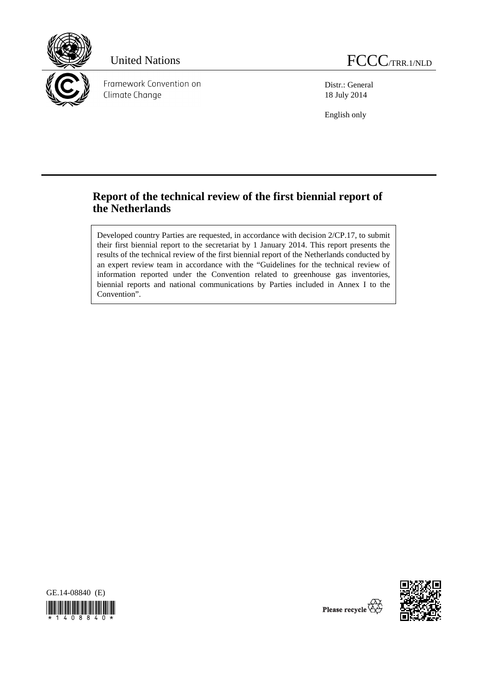

Framework Convention on Climate Change

Distr.: General 18 July 2014

English only

# **Report of the technical review of the first biennial report of the Netherlands**

Developed country Parties are requested, in accordance with decision 2/CP.17, to submit their first biennial report to the secretariat by 1 January 2014. This report presents the results of the technical review of the first biennial report of the Netherlands conducted by an expert review team in accordance with the "Guidelines for the technical review of information reported under the Convention related to greenhouse gas inventories, biennial reports and national communications by Parties included in Annex I to the Convention".





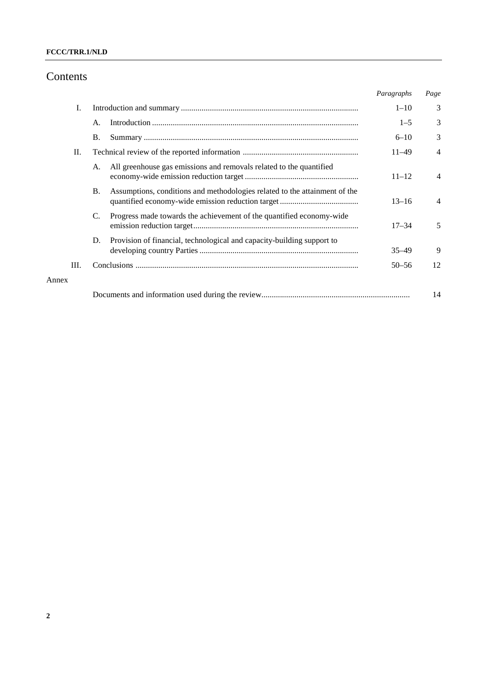### **FCCC/TRR.1/NLD**

## Contents

|       |    |           |                                                                            | Paragraphs | Page           |
|-------|----|-----------|----------------------------------------------------------------------------|------------|----------------|
|       | I. |           |                                                                            | $1 - 10$   | 3              |
|       |    | A.        |                                                                            | $1 - 5$    | 3              |
|       |    | <b>B.</b> |                                                                            | $6 - 10$   | 3              |
|       | П. |           |                                                                            | $11 - 49$  | $\overline{4}$ |
|       |    | A.        | All greenhouse gas emissions and removals related to the quantified        | $11 - 12$  | $\overline{4}$ |
|       |    | <b>B.</b> | Assumptions, conditions and methodologies related to the attainment of the | $13 - 16$  | $\overline{4}$ |
|       |    | C.        | Progress made towards the achievement of the quantified economy-wide       | $17 - 34$  | 5              |
|       |    | D.        | Provision of financial, technological and capacity-building support to     | $35 - 49$  | 9              |
|       | Ш. |           |                                                                            | $50 - 56$  | 12             |
| Annex |    |           |                                                                            |            |                |
|       |    |           |                                                                            |            | 14             |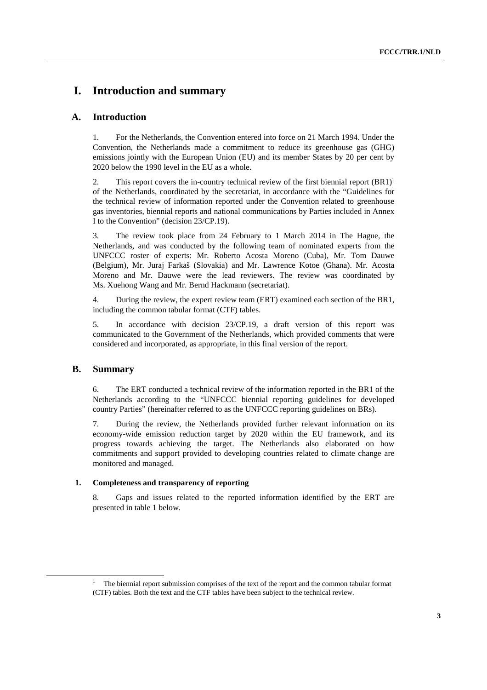## **I. Introduction and summary**

### **A. Introduction**

1. For the Netherlands, the Convention entered into force on 21 March 1994. Under the Convention, the Netherlands made a commitment to reduce its greenhouse gas (GHG) emissions jointly with the European Union (EU) and its member States by 20 per cent by 2020 below the 1990 level in the EU as a whole.

2. This report covers the in-country technical review of the first biennial report  $(BR1)^1$ of the Netherlands, coordinated by the secretariat, in accordance with the "Guidelines for the technical review of information reported under the Convention related to greenhouse gas inventories, biennial reports and national communications by Parties included in Annex I to the Convention" (decision 23/CP.19).

3. The review took place from 24 February to 1 March 2014 in The Hague, the Netherlands, and was conducted by the following team of nominated experts from the UNFCCC roster of experts: Mr. Roberto Acosta Moreno (Cuba), Mr. Tom Dauwe (Belgium), Mr. Juraj Farkaš (Slovakia) and Mr. Lawrence Kotoe (Ghana). Mr. Acosta Moreno and Mr. Dauwe were the lead reviewers. The review was coordinated by Ms. Xuehong Wang and Mr. Bernd Hackmann (secretariat).

4. During the review, the expert review team (ERT) examined each section of the BR1, including the common tabular format (CTF) tables.

5. In accordance with decision 23/CP.19, a draft version of this report was communicated to the Government of the Netherlands, which provided comments that were considered and incorporated, as appropriate, in this final version of the report.

### **B. Summary**

6. The ERT conducted a technical review of the information reported in the BR1 of the Netherlands according to the "UNFCCC biennial reporting guidelines for developed country Parties" (hereinafter referred to as the UNFCCC reporting guidelines on BRs).

7. During the review, the Netherlands provided further relevant information on its economy-wide emission reduction target by 2020 within the EU framework, and its progress towards achieving the target. The Netherlands also elaborated on how commitments and support provided to developing countries related to climate change are monitored and managed.

#### **1. Completeness and transparency of reporting**

8. Gaps and issues related to the reported information identified by the ERT are presented in table 1 below.

 <sup>1</sup> <sup>1</sup> The biennial report submission comprises of the text of the report and the common tabular format (CTF) tables. Both the text and the CTF tables have been subject to the technical review.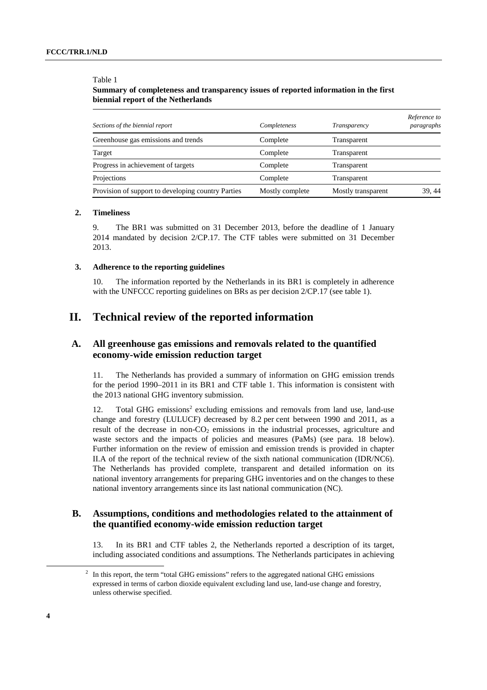Table 1

### **Summary of completeness and transparency issues of reported information in the first biennial report of the Netherlands**

| Sections of the biennial report                    | Completeness    | Transparency       | Reference to<br>paragraphs |
|----------------------------------------------------|-----------------|--------------------|----------------------------|
| Greenhouse gas emissions and trends                | Complete        | Transparent        |                            |
| Target                                             | Complete        | Transparent        |                            |
| Progress in achievement of targets                 | Complete        | Transparent        |                            |
| Projections                                        | Complete        | Transparent        |                            |
| Provision of support to developing country Parties | Mostly complete | Mostly transparent | 39, 44                     |

#### **2. Timeliness**

9. The BR1 was submitted on 31 December 2013, before the deadline of 1 January 2014 mandated by decision 2/CP.17. The CTF tables were submitted on 31 December 2013.

#### **3. Adherence to the reporting guidelines**

10. The information reported by the Netherlands in its BR1 is completely in adherence with the UNFCCC reporting guidelines on BRs as per decision  $2/CP.17$  (see table 1).

## **II. Technical review of the reported information**

### **A. All greenhouse gas emissions and removals related to the quantified economy-wide emission reduction target**

11. The Netherlands has provided a summary of information on GHG emission trends for the period 1990–2011 in its BR1 and CTF table 1. This information is consistent with the 2013 national GHG inventory submission.

12. Total GHG emissions<sup>2</sup> excluding emissions and removals from land use, land-use change and forestry (LULUCF) decreased by 8.2 per cent between 1990 and 2011, as a result of the decrease in non- $CO<sub>2</sub>$  emissions in the industrial processes, agriculture and waste sectors and the impacts of policies and measures (PaMs) (see para. 18 below). Further information on the review of emission and emission trends is provided in chapter II.A of the report of the technical review of the sixth national communication (IDR/NC6). The Netherlands has provided complete, transparent and detailed information on its national inventory arrangements for preparing GHG inventories and on the changes to these national inventory arrangements since its last national communication (NC).

### **B. Assumptions, conditions and methodologies related to the attainment of the quantified economy-wide emission reduction target**

13. In its BR1 and CTF tables 2, the Netherlands reported a description of its target, including associated conditions and assumptions. The Netherlands participates in achieving

 <sup>2</sup>  $1<sup>2</sup>$  In this report, the term "total GHG emissions" refers to the aggregated national GHG emissions expressed in terms of carbon dioxide equivalent excluding land use, land-use change and forestry, unless otherwise specified.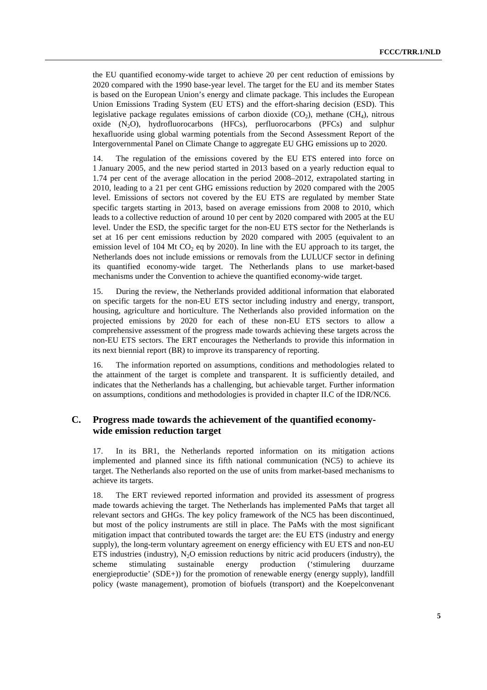the EU quantified economy-wide target to achieve 20 per cent reduction of emissions by 2020 compared with the 1990 base-year level. The target for the EU and its member States is based on the European Union's energy and climate package. This includes the European Union Emissions Trading System (EU ETS) and the effort-sharing decision (ESD). This legislative package regulates emissions of carbon dioxide  $(CO<sub>2</sub>)$ , methane  $(CH<sub>4</sub>)$ , nitrous oxide  $(N_2O)$ , hydrofluorocarbons (HFCs), perfluorocarbons (PFCs) and sulphur hexafluoride using global warming potentials from the Second Assessment Report of the Intergovernmental Panel on Climate Change to aggregate EU GHG emissions up to 2020.

14. The regulation of the emissions covered by the EU ETS entered into force on 1 January 2005, and the new period started in 2013 based on a yearly reduction equal to 1.74 per cent of the average allocation in the period 2008–2012, extrapolated starting in 2010, leading to a 21 per cent GHG emissions reduction by 2020 compared with the 2005 level. Emissions of sectors not covered by the EU ETS are regulated by member State specific targets starting in 2013, based on average emissions from 2008 to 2010, which leads to a collective reduction of around 10 per cent by 2020 compared with 2005 at the EU level. Under the ESD, the specific target for the non-EU ETS sector for the Netherlands is set at 16 per cent emissions reduction by 2020 compared with 2005 (equivalent to an emission level of 104 Mt CO<sub>2</sub> eq by 2020). In line with the EU approach to its target, the Netherlands does not include emissions or removals from the LULUCF sector in defining its quantified economy-wide target. The Netherlands plans to use market-based mechanisms under the Convention to achieve the quantified economy-wide target.

15. During the review, the Netherlands provided additional information that elaborated on specific targets for the non-EU ETS sector including industry and energy, transport, housing, agriculture and horticulture. The Netherlands also provided information on the projected emissions by 2020 for each of these non-EU ETS sectors to allow a comprehensive assessment of the progress made towards achieving these targets across the non-EU ETS sectors. The ERT encourages the Netherlands to provide this information in its next biennial report (BR) to improve its transparency of reporting.

16. The information reported on assumptions, conditions and methodologies related to the attainment of the target is complete and transparent. It is sufficiently detailed, and indicates that the Netherlands has a challenging, but achievable target. Further information on assumptions, conditions and methodologies is provided in chapter II.C of the IDR/NC6.

### **C. Progress made towards the achievement of the quantified economywide emission reduction target**

17. In its BR1, the Netherlands reported information on its mitigation actions implemented and planned since its fifth national communication (NC5) to achieve its target. The Netherlands also reported on the use of units from market-based mechanisms to achieve its targets.

18. The ERT reviewed reported information and provided its assessment of progress made towards achieving the target. The Netherlands has implemented PaMs that target all relevant sectors and GHGs. The key policy framework of the NC5 has been discontinued, but most of the policy instruments are still in place. The PaMs with the most significant mitigation impact that contributed towards the target are: the EU ETS (industry and energy supply), the long-term voluntary agreement on energy efficiency with EU ETS and non-EU ETS industries (industry),  $N_2O$  emission reductions by nitric acid producers (industry), the scheme stimulating sustainable energy production ('stimulering duurzame energieproductie' (SDE+)) for the promotion of renewable energy (energy supply), landfill policy (waste management), promotion of biofuels (transport) and the Koepelconvenant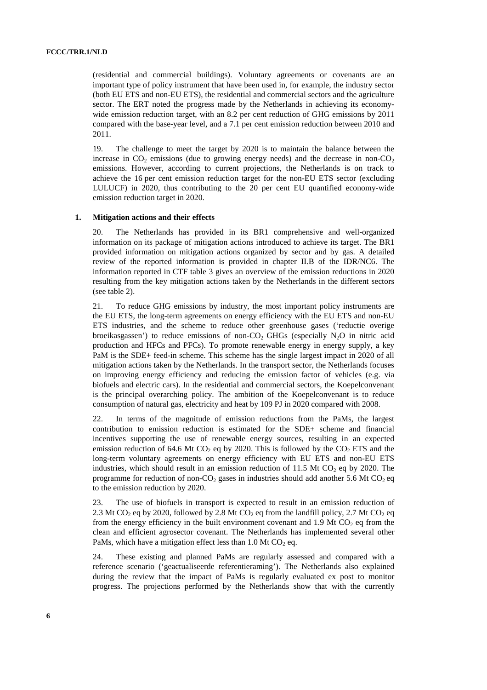(residential and commercial buildings). Voluntary agreements or covenants are an important type of policy instrument that have been used in, for example, the industry sector (both EU ETS and non-EU ETS), the residential and commercial sectors and the agriculture sector. The ERT noted the progress made by the Netherlands in achieving its economywide emission reduction target, with an 8.2 per cent reduction of GHG emissions by 2011 compared with the base-year level, and a 7.1 per cent emission reduction between 2010 and 2011.

19. The challenge to meet the target by 2020 is to maintain the balance between the increase in  $CO<sub>2</sub>$  emissions (due to growing energy needs) and the decrease in non- $CO<sub>2</sub>$ emissions. However, according to current projections, the Netherlands is on track to achieve the 16 per cent emission reduction target for the non-EU ETS sector (excluding LULUCF) in 2020, thus contributing to the 20 per cent EU quantified economy-wide emission reduction target in 2020.

#### **1. Mitigation actions and their effects**

20. The Netherlands has provided in its BR1 comprehensive and well-organized information on its package of mitigation actions introduced to achieve its target. The BR1 provided information on mitigation actions organized by sector and by gas. A detailed review of the reported information is provided in chapter II.B of the IDR/NC6. The information reported in CTF table 3 gives an overview of the emission reductions in 2020 resulting from the key mitigation actions taken by the Netherlands in the different sectors (see table 2).

21. To reduce GHG emissions by industry, the most important policy instruments are the EU ETS, the long-term agreements on energy efficiency with the EU ETS and non-EU ETS industries, and the scheme to reduce other greenhouse gases ('reductie overige broeikasgassen') to reduce emissions of non-CO<sub>2</sub> GHGs (especially  $N_2O$  in nitric acid production and HFCs and PFCs). To promote renewable energy in energy supply, a key PaM is the SDE+ feed-in scheme. This scheme has the single largest impact in 2020 of all mitigation actions taken by the Netherlands. In the transport sector, the Netherlands focuses on improving energy efficiency and reducing the emission factor of vehicles (e.g. via biofuels and electric cars). In the residential and commercial sectors, the Koepelconvenant is the principal overarching policy. The ambition of the Koepelconvenant is to reduce consumption of natural gas, electricity and heat by 109 PJ in 2020 compared with 2008.

22. In terms of the magnitude of emission reductions from the PaMs, the largest contribution to emission reduction is estimated for the SDE+ scheme and financial incentives supporting the use of renewable energy sources, resulting in an expected emission reduction of 64.6 Mt  $CO<sub>2</sub>$  eq by 2020. This is followed by the  $CO<sub>2</sub> ETS$  and the long-term voluntary agreements on energy efficiency with EU ETS and non-EU ETS industries, which should result in an emission reduction of 11.5 Mt  $CO<sub>2</sub>$  eq by 2020. The programme for reduction of non-CO<sub>2</sub> gases in industries should add another 5.6 Mt CO<sub>2</sub> eq to the emission reduction by 2020.

23. The use of biofuels in transport is expected to result in an emission reduction of 2.3 Mt CO<sub>2</sub> eq by 2020, followed by 2.8 Mt CO<sub>2</sub> eq from the landfill policy, 2.7 Mt CO<sub>2</sub> eq from the energy efficiency in the built environment covenant and 1.9 Mt  $CO<sub>2</sub>$  eq from the clean and efficient agrosector covenant. The Netherlands has implemented several other PaMs, which have a mitigation effect less than 1.0 Mt  $CO<sub>2</sub>$  eq.

24. These existing and planned PaMs are regularly assessed and compared with a reference scenario ('geactualiseerde referentieraming'). The Netherlands also explained during the review that the impact of PaMs is regularly evaluated ex post to monitor progress. The projections performed by the Netherlands show that with the currently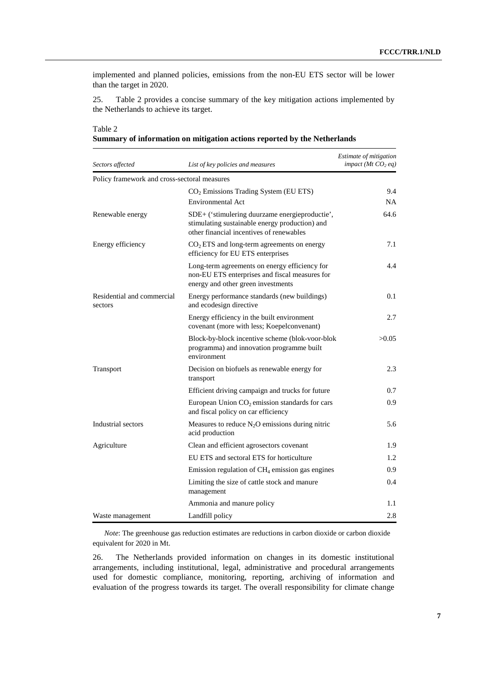implemented and planned policies, emissions from the non-EU ETS sector will be lower than the target in 2020.

25. Table 2 provides a concise summary of the key mitigation actions implemented by the Netherlands to achieve its target.

| Sectors affected                             | List of key policies and measures                                                                                                            | Estimate of mitigation<br>impact (Mt $CO2$ eq) |
|----------------------------------------------|----------------------------------------------------------------------------------------------------------------------------------------------|------------------------------------------------|
| Policy framework and cross-sectoral measures |                                                                                                                                              |                                                |
|                                              | $CO2$ Emissions Trading System (EU ETS)<br>Environmental Act                                                                                 | 9.4<br><b>NA</b>                               |
| Renewable energy                             | SDE+ ('stimulering duurzame energieproductie',<br>stimulating sustainable energy production) and<br>other financial incentives of renewables | 64.6                                           |
| Energy efficiency                            | $CO2 ETS$ and long-term agreements on energy<br>efficiency for EU ETS enterprises                                                            | 7.1                                            |
|                                              | Long-term agreements on energy efficiency for<br>non-EU ETS enterprises and fiscal measures for<br>energy and other green investments        | 4.4                                            |
| Residential and commercial<br>sectors        | Energy performance standards (new buildings)<br>and ecodesign directive                                                                      | 0.1                                            |
|                                              | Energy efficiency in the built environment<br>covenant (more with less; Koepelconvenant)                                                     | 2.7                                            |
|                                              | Block-by-block incentive scheme (blok-voor-blok<br>programma) and innovation programme built<br>environment                                  | >0.05                                          |
| Transport                                    | Decision on biofuels as renewable energy for<br>transport                                                                                    | 2.3                                            |
|                                              | Efficient driving campaign and trucks for future                                                                                             | 0.7                                            |
|                                              | European Union $CO2$ emission standards for cars<br>and fiscal policy on car efficiency                                                      | 0.9                                            |
| Industrial sectors                           | Measures to reduce $N_2O$ emissions during nitric<br>acid production                                                                         | 5.6                                            |
| Agriculture                                  | Clean and efficient agrosectors covenant                                                                                                     | 1.9                                            |
|                                              | EU ETS and sectoral ETS for horticulture                                                                                                     | 1.2                                            |
|                                              | Emission regulation of $CH_4$ emission gas engines                                                                                           | 0.9                                            |
|                                              | Limiting the size of cattle stock and manure<br>management                                                                                   | 0.4                                            |
|                                              | Ammonia and manure policy                                                                                                                    | 1.1                                            |
| Waste management                             | Landfill policy                                                                                                                              | 2.8                                            |

**Summary of information on mitigation actions reported by the Netherlands** 

Table 2

*Note*: The greenhouse gas reduction estimates are reductions in carbon dioxide or carbon dioxide equivalent for 2020 in Mt.

26. The Netherlands provided information on changes in its domestic institutional arrangements, including institutional, legal, administrative and procedural arrangements used for domestic compliance, monitoring, reporting, archiving of information and evaluation of the progress towards its target. The overall responsibility for climate change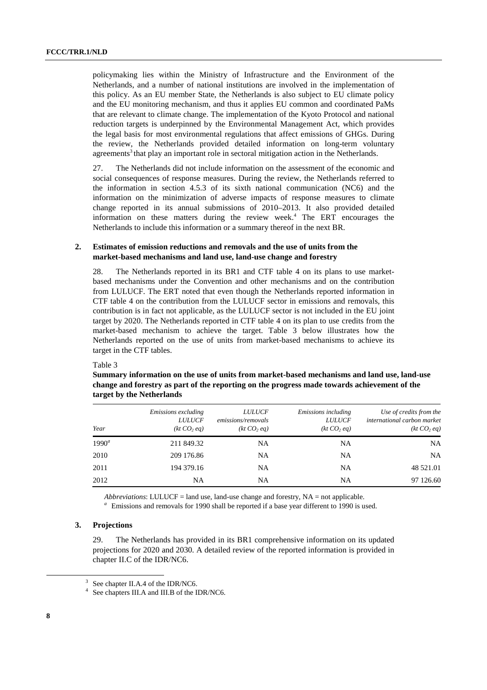policymaking lies within the Ministry of Infrastructure and the Environment of the Netherlands, and a number of national institutions are involved in the implementation of this policy. As an EU member State, the Netherlands is also subject to EU climate policy and the EU monitoring mechanism, and thus it applies EU common and coordinated PaMs that are relevant to climate change. The implementation of the Kyoto Protocol and national reduction targets is underpinned by the Environmental Management Act, which provides the legal basis for most environmental regulations that affect emissions of GHGs. During the review, the Netherlands provided detailed information on long-term voluntary agreements<sup>3</sup> that play an important role in sectoral mitigation action in the Netherlands.

27. The Netherlands did not include information on the assessment of the economic and social consequences of response measures. During the review, the Netherlands referred to the information in section 4.5.3 of its sixth national communication (NC6) and the information on the minimization of adverse impacts of response measures to climate change reported in its annual submissions of 2010–2013. It also provided detailed information on these matters during the review week.<sup>4</sup> The ERT encourages the Netherlands to include this information or a summary thereof in the next BR.

#### **2. Estimates of emission reductions and removals and the use of units from the market-based mechanisms and land use, land-use change and forestry**

28. The Netherlands reported in its BR1 and CTF table 4 on its plans to use marketbased mechanisms under the Convention and other mechanisms and on the contribution from LULUCF. The ERT noted that even though the Netherlands reported information in CTF table 4 on the contribution from the LULUCF sector in emissions and removals, this contribution is in fact not applicable, as the LULUCF sector is not included in the EU joint target by 2020. The Netherlands reported in CTF table 4 on its plan to use credits from the market-based mechanism to achieve the target. Table 3 below illustrates how the Netherlands reported on the use of units from market-based mechanisms to achieve its target in the CTF tables.

#### Table 3

**Summary information on the use of units from market-based mechanisms and land use, land-use change and forestry as part of the reporting on the progress made towards achievement of the target by the Netherlands** 

| Year     | Emissions excluding<br><b>LULUCF</b><br>(kt CO <sub>2</sub> eq) | <i>LULUCF</i><br>emissions/removals<br>(kt CO <sub>2</sub> eq) | Emissions including<br><b>LULUCF</b><br>(kt CO <sub>2</sub> eq) | Use of credits from the<br>international carbon market<br>(kt CO <sub>2</sub> eq) |
|----------|-----------------------------------------------------------------|----------------------------------------------------------------|-----------------------------------------------------------------|-----------------------------------------------------------------------------------|
| $1990^a$ | 211 849.32                                                      | NA                                                             | NA                                                              | NA                                                                                |
| 2010     | 209 176.86                                                      | NA                                                             | NA                                                              | <b>NA</b>                                                                         |
| 2011     | 194 379.16                                                      | NA                                                             | NA                                                              | 48 521.01                                                                         |
| 2012     | NA                                                              | NA                                                             | NA                                                              | 97 126.60                                                                         |

*Abbreviations*: LULUCF = land use, land-use change and forestry, NA = not applicable.

<sup>a</sup> Emissions and removals for 1990 shall be reported if a base year different to 1990 is used.

#### **3. Projections**

29. The Netherlands has provided in its BR1 comprehensive information on its updated projections for 2020 and 2030. A detailed review of the reported information is provided in chapter II.C of the IDR/NC6.

 <sup>3</sup>  $3$  See chapter II.A.4 of the IDR/NC6.

<sup>4</sup> See chapters III.A and III.B of the IDR/NC6.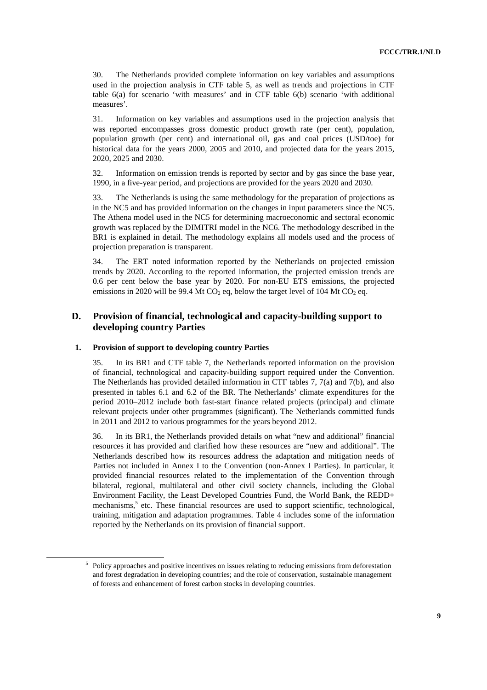30. The Netherlands provided complete information on key variables and assumptions used in the projection analysis in CTF table 5, as well as trends and projections in CTF table 6(a) for scenario 'with measures' and in CTF table 6(b) scenario 'with additional measures'.

31. Information on key variables and assumptions used in the projection analysis that was reported encompasses gross domestic product growth rate (per cent), population, population growth (per cent) and international oil, gas and coal prices (USD/toe) for historical data for the years 2000, 2005 and 2010, and projected data for the years 2015, 2020, 2025 and 2030.

32. Information on emission trends is reported by sector and by gas since the base year, 1990, in a five-year period, and projections are provided for the years 2020 and 2030.

33. The Netherlands is using the same methodology for the preparation of projections as in the NC5 and has provided information on the changes in input parameters since the NC5. The Athena model used in the NC5 for determining macroeconomic and sectoral economic growth was replaced by the DIMITRI model in the NC6. The methodology described in the BR1 is explained in detail. The methodology explains all models used and the process of projection preparation is transparent.

34. The ERT noted information reported by the Netherlands on projected emission trends by 2020. According to the reported information, the projected emission trends are 0.6 per cent below the base year by 2020. For non-EU ETS emissions, the projected emissions in 2020 will be 99.4 Mt  $CO<sub>2</sub>$  eq, below the target level of 104 Mt  $CO<sub>2</sub>$  eq.

### **D. Provision of financial, technological and capacity-building support to developing country Parties**

#### **1. Provision of support to developing country Parties**

35. In its BR1 and CTF table 7, the Netherlands reported information on the provision of financial, technological and capacity-building support required under the Convention. The Netherlands has provided detailed information in CTF tables 7, 7(a) and 7(b), and also presented in tables 6.1 and 6.2 of the BR. The Netherlands' climate expenditures for the period 2010–2012 include both fast-start finance related projects (principal) and climate relevant projects under other programmes (significant). The Netherlands committed funds in 2011 and 2012 to various programmes for the years beyond 2012.

36. In its BR1, the Netherlands provided details on what "new and additional" financial resources it has provided and clarified how these resources are "new and additional". The Netherlands described how its resources address the adaptation and mitigation needs of Parties not included in Annex I to the Convention (non-Annex I Parties). In particular, it provided financial resources related to the implementation of the Convention through bilateral, regional, multilateral and other civil society channels, including the Global Environment Facility, the Least Developed Countries Fund, the World Bank, the REDD+ mechanisms,<sup>5</sup> etc. These financial resources are used to support scientific, technological, training, mitigation and adaptation programmes. Table 4 includes some of the information reported by the Netherlands on its provision of financial support.

 $\frac{1}{5}$ <sup>5</sup> Policy approaches and positive incentives on issues relating to reducing emissions from deforestation and forest degradation in developing countries; and the role of conservation, sustainable management of forests and enhancement of forest carbon stocks in developing countries.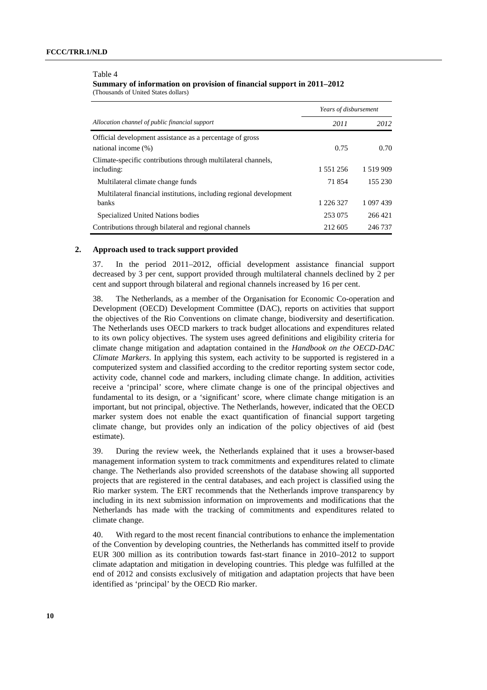#### Table 4

**Summary of information on provision of financial support in 2011–2012**  (Thousands of United States dollars)

|                                                                                     | Years of disbursement |               |  |
|-------------------------------------------------------------------------------------|-----------------------|---------------|--|
| Allocation channel of public financial support                                      | 2011                  | 2012          |  |
| Official development assistance as a percentage of gross                            |                       |               |  |
| national income $(\%)$                                                              | 0.75                  | 0.70          |  |
| Climate-specific contributions through multilateral channels,<br>including:         | 1 551 256             | 1 5 1 9 9 0 9 |  |
| Multilateral climate change funds                                                   | 71854                 | 155 230       |  |
| Multilateral financial institutions, including regional development<br><b>banks</b> | 1 226 327             | 1 097 439     |  |
| Specialized United Nations bodies                                                   | 253 075               | 266421        |  |
| Contributions through bilateral and regional channels                               | 212 605               | 246 737       |  |

#### **2. Approach used to track support provided**

37. In the period 2011–2012, official development assistance financial support decreased by 3 per cent, support provided through multilateral channels declined by 2 per cent and support through bilateral and regional channels increased by 16 per cent.

38. The Netherlands, as a member of the Organisation for Economic Co-operation and Development (OECD) Development Committee (DAC), reports on activities that support the objectives of the Rio Conventions on climate change, biodiversity and desertification. The Netherlands uses OECD markers to track budget allocations and expenditures related to its own policy objectives. The system uses agreed definitions and eligibility criteria for climate change mitigation and adaptation contained in the *Handbook on the OECD-DAC Climate Markers*. In applying this system, each activity to be supported is registered in a computerized system and classified according to the creditor reporting system sector code, activity code, channel code and markers, including climate change. In addition, activities receive a 'principal' score, where climate change is one of the principal objectives and fundamental to its design, or a 'significant' score, where climate change mitigation is an important, but not principal, objective. The Netherlands, however, indicated that the OECD marker system does not enable the exact quantification of financial support targeting climate change, but provides only an indication of the policy objectives of aid (best estimate).

39. During the review week, the Netherlands explained that it uses a browser-based management information system to track commitments and expenditures related to climate change. The Netherlands also provided screenshots of the database showing all supported projects that are registered in the central databases, and each project is classified using the Rio marker system. The ERT recommends that the Netherlands improve transparency by including in its next submission information on improvements and modifications that the Netherlands has made with the tracking of commitments and expenditures related to climate change.

40. With regard to the most recent financial contributions to enhance the implementation of the Convention by developing countries, the Netherlands has committed itself to provide EUR 300 million as its contribution towards fast-start finance in 2010–2012 to support climate adaptation and mitigation in developing countries. This pledge was fulfilled at the end of 2012 and consists exclusively of mitigation and adaptation projects that have been identified as 'principal' by the OECD Rio marker.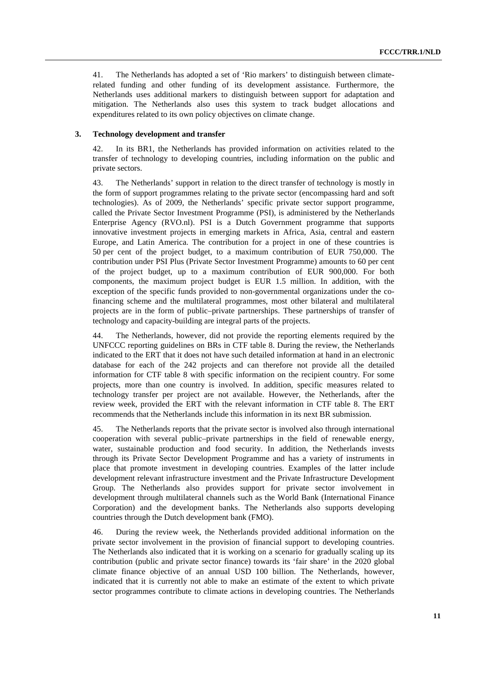41. The Netherlands has adopted a set of 'Rio markers' to distinguish between climaterelated funding and other funding of its development assistance. Furthermore, the Netherlands uses additional markers to distinguish between support for adaptation and mitigation. The Netherlands also uses this system to track budget allocations and expenditures related to its own policy objectives on climate change.

#### **3. Technology development and transfer**

42. In its BR1, the Netherlands has provided information on activities related to the transfer of technology to developing countries, including information on the public and private sectors.

43. The Netherlands' support in relation to the direct transfer of technology is mostly in the form of support programmes relating to the private sector (encompassing hard and soft technologies). As of 2009, the Netherlands' specific private sector support programme, called the Private Sector Investment Programme (PSI), is administered by the Netherlands Enterprise Agency (RVO.nl). PSI is a Dutch Government programme that supports innovative investment projects in emerging markets in Africa, Asia, central and eastern Europe, and Latin America. The contribution for a project in one of these countries is 50 per cent of the project budget, to a maximum contribution of EUR 750,000. The contribution under PSI Plus (Private Sector Investment Programme) amounts to 60 per cent of the project budget, up to a maximum contribution of EUR 900,000. For both components, the maximum project budget is EUR 1.5 million. In addition, with the exception of the specific funds provided to non-governmental organizations under the cofinancing scheme and the multilateral programmes, most other bilateral and multilateral projects are in the form of public–private partnerships. These partnerships of transfer of technology and capacity-building are integral parts of the projects.

44. The Netherlands, however, did not provide the reporting elements required by the UNFCCC reporting guidelines on BRs in CTF table 8. During the review, the Netherlands indicated to the ERT that it does not have such detailed information at hand in an electronic database for each of the 242 projects and can therefore not provide all the detailed information for CTF table 8 with specific information on the recipient country. For some projects, more than one country is involved. In addition, specific measures related to technology transfer per project are not available. However, the Netherlands, after the review week, provided the ERT with the relevant information in CTF table 8. The ERT recommends that the Netherlands include this information in its next BR submission.

45. The Netherlands reports that the private sector is involved also through international cooperation with several public–private partnerships in the field of renewable energy, water, sustainable production and food security. In addition, the Netherlands invests through its Private Sector Development Programme and has a variety of instruments in place that promote investment in developing countries. Examples of the latter include development relevant infrastructure investment and the Private Infrastructure Development Group. The Netherlands also provides support for private sector involvement in development through multilateral channels such as the World Bank (International Finance Corporation) and the development banks. The Netherlands also supports developing countries through the Dutch development bank (FMO).

46. During the review week, the Netherlands provided additional information on the private sector involvement in the provision of financial support to developing countries. The Netherlands also indicated that it is working on a scenario for gradually scaling up its contribution (public and private sector finance) towards its 'fair share' in the 2020 global climate finance objective of an annual USD 100 billion. The Netherlands, however, indicated that it is currently not able to make an estimate of the extent to which private sector programmes contribute to climate actions in developing countries. The Netherlands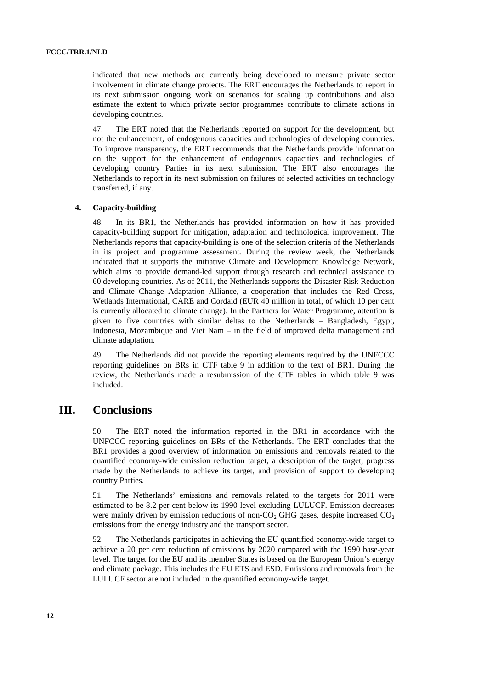indicated that new methods are currently being developed to measure private sector involvement in climate change projects. The ERT encourages the Netherlands to report in its next submission ongoing work on scenarios for scaling up contributions and also estimate the extent to which private sector programmes contribute to climate actions in developing countries.

47. The ERT noted that the Netherlands reported on support for the development, but not the enhancement, of endogenous capacities and technologies of developing countries. To improve transparency, the ERT recommends that the Netherlands provide information on the support for the enhancement of endogenous capacities and technologies of developing country Parties in its next submission. The ERT also encourages the Netherlands to report in its next submission on failures of selected activities on technology transferred, if any.

#### **4. Capacity-building**

48. In its BR1, the Netherlands has provided information on how it has provided capacity-building support for mitigation, adaptation and technological improvement. The Netherlands reports that capacity-building is one of the selection criteria of the Netherlands in its project and programme assessment. During the review week, the Netherlands indicated that it supports the initiative Climate and Development Knowledge Network, which aims to provide demand-led support through research and technical assistance to 60 developing countries. As of 2011, the Netherlands supports the Disaster Risk Reduction and Climate Change Adaptation Alliance, a cooperation that includes the Red Cross, Wetlands International, CARE and Cordaid (EUR 40 million in total, of which 10 per cent is currently allocated to climate change). In the Partners for Water Programme, attention is given to five countries with similar deltas to the Netherlands – Bangladesh, Egypt, Indonesia, Mozambique and Viet Nam – in the field of improved delta management and climate adaptation.

49. The Netherlands did not provide the reporting elements required by the UNFCCC reporting guidelines on BRs in CTF table 9 in addition to the text of BR1. During the review, the Netherlands made a resubmission of the CTF tables in which table 9 was included.

### **III. Conclusions**

50. The ERT noted the information reported in the BR1 in accordance with the UNFCCC reporting guidelines on BRs of the Netherlands. The ERT concludes that the BR1 provides a good overview of information on emissions and removals related to the quantified economy-wide emission reduction target, a description of the target, progress made by the Netherlands to achieve its target, and provision of support to developing country Parties.

51. The Netherlands' emissions and removals related to the targets for 2011 were estimated to be 8.2 per cent below its 1990 level excluding LULUCF. Emission decreases were mainly driven by emission reductions of non- $CO<sub>2</sub>$  GHG gases, despite increased  $CO<sub>2</sub>$ emissions from the energy industry and the transport sector.

52. The Netherlands participates in achieving the EU quantified economy-wide target to achieve a 20 per cent reduction of emissions by 2020 compared with the 1990 base-year level. The target for the EU and its member States is based on the European Union's energy and climate package. This includes the EU ETS and ESD. Emissions and removals from the LULUCF sector are not included in the quantified economy-wide target.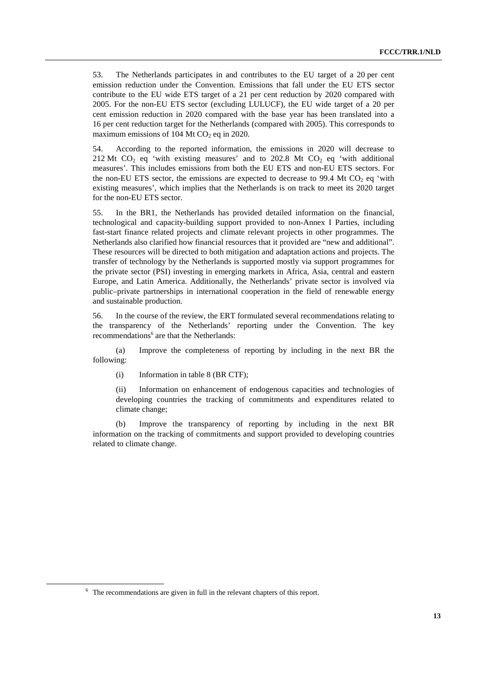53. The Netherlands participates in and contributes to the EU target of a 20 per cent emission reduction under the Convention. Emissions that fall under the EU ETS sector contribute to the EU wide ETS target of a 21 per cent reduction by 2020 compared with 2005. For the non-EU ETS sector (excluding LULUCF), the EU wide target of a 20 per cent emission reduction in 2020 compared with the base year has been translated into a 16 per cent reduction target for the Netherlands (compared with 2005). This corresponds to maximum emissions of 104 Mt  $CO<sub>2</sub>$  eq in 2020.

54. According to the reported information, the emissions in 2020 will decrease to 212 Mt  $CO<sub>2</sub>$  eq 'with existing measures' and to 202.8 Mt  $CO<sub>2</sub>$  eq 'with additional measures'. This includes emissions from both the EU ETS and non-EU ETS sectors. For the non-EU ETS sector, the emissions are expected to decrease to 99.4 Mt  $CO<sub>2</sub>$  eq 'with existing measures', which implies that the Netherlands is on track to meet its 2020 target for the non-EU ETS sector.

55. In the BR1, the Netherlands has provided detailed information on the financial, technological and capacity-building support provided to non-Annex I Parties, including fast-start finance related projects and climate relevant projects in other programmes. The Netherlands also clarified how financial resources that it provided are "new and additional". These resources will be directed to both mitigation and adaptation actions and projects. The transfer of technology by the Netherlands is supported mostly via support programmes for the private sector (PSI) investing in emerging markets in Africa, Asia, central and eastern Europe, and Latin America. Additionally, the Netherlands' private sector is involved via public–private partnerships in international cooperation in the field of renewable energy and sustainable production.

56. In the course of the review, the ERT formulated several recommendations relating to the transparency of the Netherlands' reporting under the Convention. The key recommendations<sup>6</sup> are that the Netherlands:

(a) Improve the completeness of reporting by including in the next BR the following:

(i) Information in table 8 (BR CTF);

(ii) Information on enhancement of endogenous capacities and technologies of developing countries the tracking of commitments and expenditures related to climate change;

(b) Improve the transparency of reporting by including in the next BR information on the tracking of commitments and support provided to developing countries related to climate change.

 $\overline{\phantom{a}}$  $6$  The recommendations are given in full in the relevant chapters of this report.